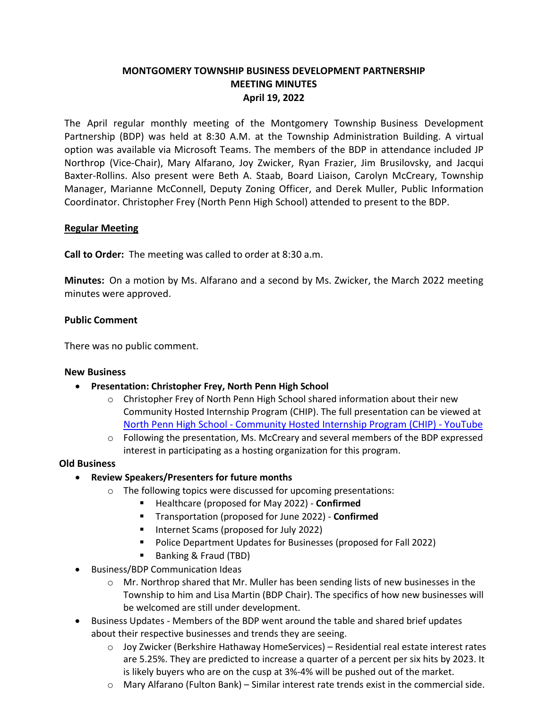# **MONTGOMERY TOWNSHIP BUSINESS DEVELOPMENT PARTNERSHIP MEETING MINUTES April 19, 2022**

The April regular monthly meeting of the Montgomery Township Business Development Partnership (BDP) was held at 8:30 A.M. at the Township Administration Building. A virtual option was available via Microsoft Teams. The members of the BDP in attendance included JP Northrop (Vice-Chair), Mary Alfarano, Joy Zwicker, Ryan Frazier, Jim Brusilovsky, and Jacqui Baxter-Rollins. Also present were Beth A. Staab, Board Liaison, Carolyn McCreary, Township Manager, Marianne McConnell, Deputy Zoning Officer, and Derek Muller, Public Information Coordinator. Christopher Frey (North Penn High School) attended to present to the BDP.

## **Regular Meeting**

**Call to Order:** The meeting was called to order at 8:30 a.m.

**Minutes:** On a motion by Ms. Alfarano and a second by Ms. Zwicker, the March 2022 meeting minutes were approved.

### **Public Comment**

There was no public comment.

#### **New Business**

- **Presentation: Christopher Frey, North Penn High School**
	- $\circ$  Christopher Frey of North Penn High School shared information about their new Community Hosted Internship Program (CHIP). The full presentation can be viewed at North Penn High School - [Community Hosted Internship Program \(CHIP\) -](https://www.youtube.com/watch?v=VRydz-31qDY) YouTube
	- $\circ$  Following the presentation, Ms. McCreary and several members of the BDP expressed interest in participating as a hosting organization for this program.

#### **Old Business**

- **Review Speakers/Presenters for future months**
	- o The following topics were discussed for upcoming presentations:
		- Healthcare (proposed for May 2022) **Confirmed**
		- Transportation (proposed for June 2022) **Confirmed**
		- Internet Scams (proposed for July 2022)
		- **Police Department Updates for Businesses (proposed for Fall 2022)**
		- Banking & Fraud (TBD)
- Business/BDP Communication Ideas
	- $\circ$  Mr. Northrop shared that Mr. Muller has been sending lists of new businesses in the Township to him and Lisa Martin (BDP Chair). The specifics of how new businesses will be welcomed are still under development.
- Business Updates Members of the BDP went around the table and shared brief updates about their respective businesses and trends they are seeing.
	- $\circ$  Joy Zwicker (Berkshire Hathaway HomeServices) Residential real estate interest rates are 5.25%. They are predicted to increase a quarter of a percent per six hits by 2023. It is likely buyers who are on the cusp at 3%-4% will be pushed out of the market.
	- $\circ$  Mary Alfarano (Fulton Bank) Similar interest rate trends exist in the commercial side.